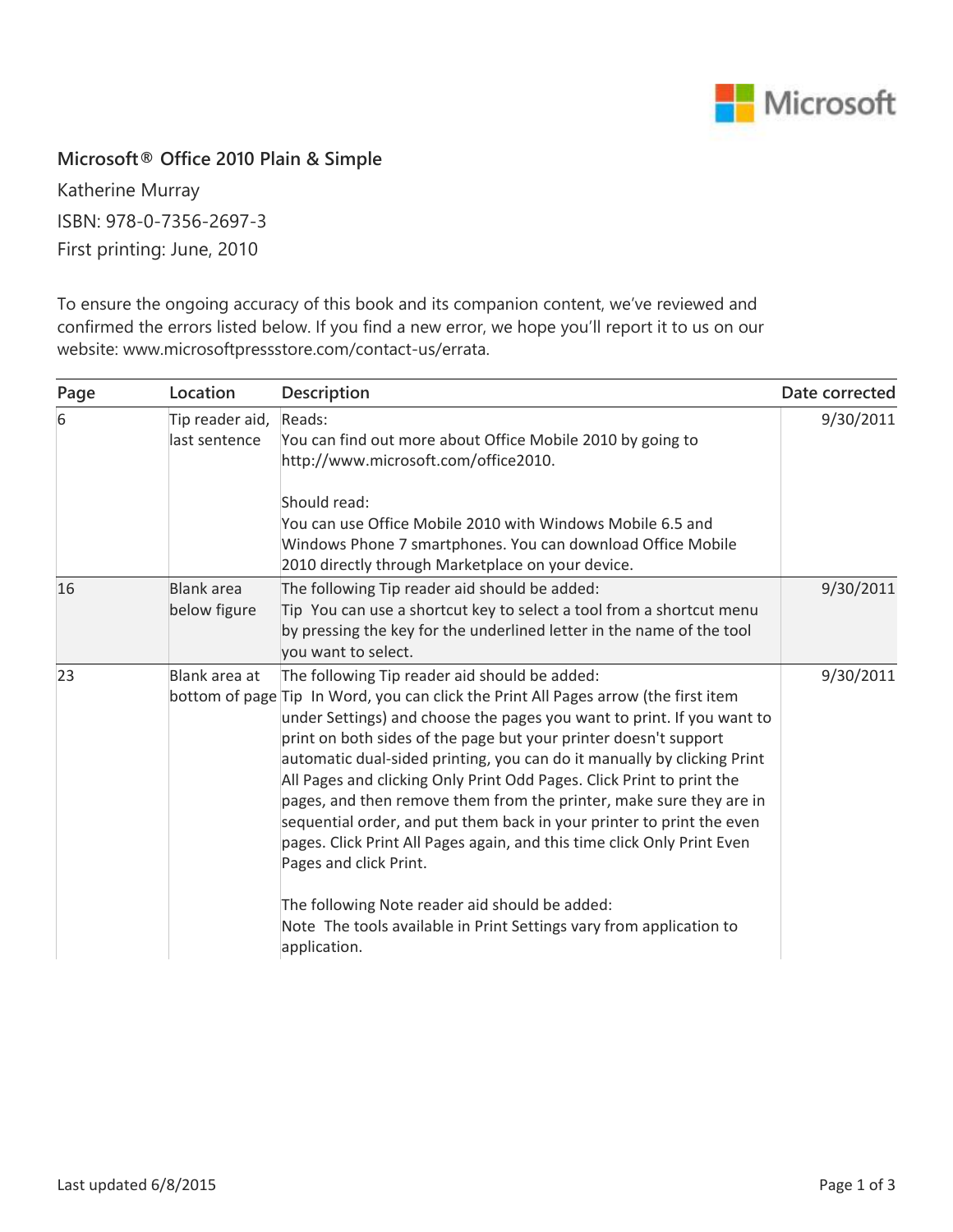

## **Microsoft® Office 2010 Plain & Simple**

Katherine Murray ISBN: 978-0-7356-2697-3 First printing: June, 2010

To ensure the ongoing accuracy of this book and its companion content, we've reviewed and confirmed the errors listed below. If you find a new error, we hope you'll report it to us on our website: www.microsoftpressstore.com/contact-us/errata.

| Page | Location                          | <b>Description</b>                                                                                                                                                                                                                                                                                                                                                                                                                                                                                                                                                                                                                                                                                                                                                                                                                   | Date corrected |
|------|-----------------------------------|--------------------------------------------------------------------------------------------------------------------------------------------------------------------------------------------------------------------------------------------------------------------------------------------------------------------------------------------------------------------------------------------------------------------------------------------------------------------------------------------------------------------------------------------------------------------------------------------------------------------------------------------------------------------------------------------------------------------------------------------------------------------------------------------------------------------------------------|----------------|
| 6    | Tip reader aid,<br>last sentence  | Reads:<br>You can find out more about Office Mobile 2010 by going to<br>http://www.microsoft.com/office2010.<br>Should read:<br>You can use Office Mobile 2010 with Windows Mobile 6.5 and<br>Windows Phone 7 smartphones. You can download Office Mobile<br>2010 directly through Marketplace on your device.                                                                                                                                                                                                                                                                                                                                                                                                                                                                                                                       | 9/30/2011      |
| 16   | <b>Blank</b> area<br>below figure | The following Tip reader aid should be added:<br>Tip You can use a shortcut key to select a tool from a shortcut menu<br>by pressing the key for the underlined letter in the name of the tool<br>you want to select.                                                                                                                                                                                                                                                                                                                                                                                                                                                                                                                                                                                                                | 9/30/2011      |
| 23   | Blank area at                     | The following Tip reader aid should be added:<br>bottom of page Tip In Word, you can click the Print All Pages arrow (the first item<br>under Settings) and choose the pages you want to print. If you want to<br>print on both sides of the page but your printer doesn't support<br>automatic dual-sided printing, you can do it manually by clicking Print<br>All Pages and clicking Only Print Odd Pages. Click Print to print the<br>pages, and then remove them from the printer, make sure they are in<br>sequential order, and put them back in your printer to print the even<br>pages. Click Print All Pages again, and this time click Only Print Even<br>Pages and click Print.<br>The following Note reader aid should be added:<br>Note The tools available in Print Settings vary from application to<br>application. | 9/30/2011      |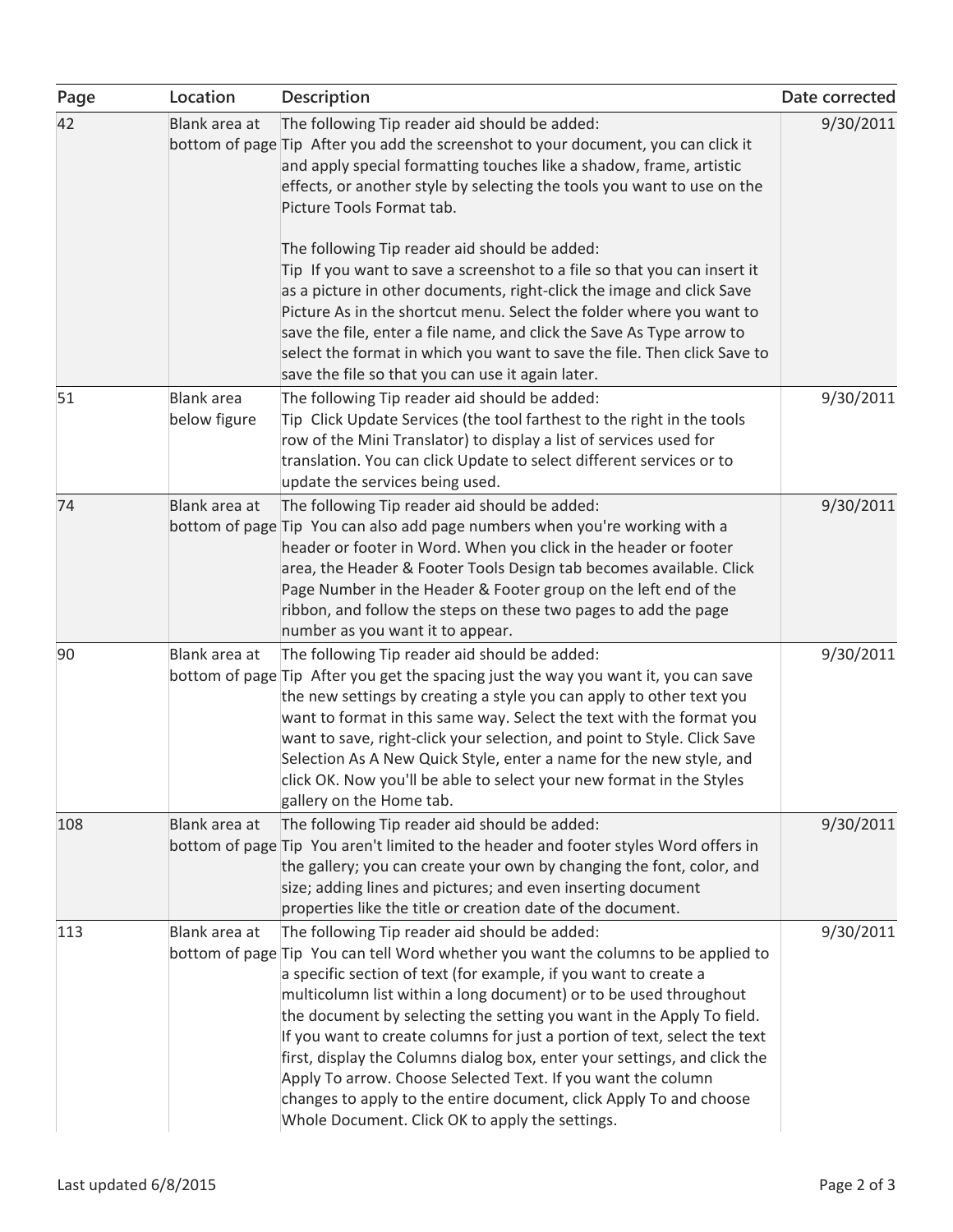| Page | Location                          | <b>Description</b>                                                                                                                                                                                                                                                                                                                                                                                                                                                                                                                                                                                                                                                                                       | Date corrected |
|------|-----------------------------------|----------------------------------------------------------------------------------------------------------------------------------------------------------------------------------------------------------------------------------------------------------------------------------------------------------------------------------------------------------------------------------------------------------------------------------------------------------------------------------------------------------------------------------------------------------------------------------------------------------------------------------------------------------------------------------------------------------|----------------|
| 42   | Blank area at                     | The following Tip reader aid should be added:<br>bottom of page Tip After you add the screenshot to your document, you can click it<br>and apply special formatting touches like a shadow, frame, artistic<br>effects, or another style by selecting the tools you want to use on the<br>Picture Tools Format tab.                                                                                                                                                                                                                                                                                                                                                                                       | 9/30/2011      |
|      |                                   | The following Tip reader aid should be added:<br>Tip If you want to save a screenshot to a file so that you can insert it<br>as a picture in other documents, right-click the image and click Save<br>Picture As in the shortcut menu. Select the folder where you want to<br>save the file, enter a file name, and click the Save As Type arrow to<br>select the format in which you want to save the file. Then click Save to<br>save the file so that you can use it again later.                                                                                                                                                                                                                     |                |
| 51   | <b>Blank</b> area<br>below figure | The following Tip reader aid should be added:<br>Tip Click Update Services (the tool farthest to the right in the tools<br>row of the Mini Translator) to display a list of services used for<br>translation. You can click Update to select different services or to<br>update the services being used.                                                                                                                                                                                                                                                                                                                                                                                                 | 9/30/2011      |
| 74   | Blank area at                     | The following Tip reader aid should be added:<br>bottom of page Tip You can also add page numbers when you're working with a<br>header or footer in Word. When you click in the header or footer<br>area, the Header & Footer Tools Design tab becomes available. Click<br>Page Number in the Header & Footer group on the left end of the<br>ribbon, and follow the steps on these two pages to add the page<br>number as you want it to appear.                                                                                                                                                                                                                                                        | 9/30/2011      |
| 90   | Blank area at                     | The following Tip reader aid should be added:<br>bottom of page Tip After you get the spacing just the way you want it, you can save<br>the new settings by creating a style you can apply to other text you<br>want to format in this same way. Select the text with the format you<br>want to save, right-click your selection, and point to Style. Click Save<br>Selection As A New Quick Style, enter a name for the new style, and<br>click OK. Now you'll be able to select your new format in the Styles<br>gallery on the Home tab.                                                                                                                                                              | 9/30/2011      |
| 108  | Blank area at                     | The following Tip reader aid should be added:<br>bottom of page Tip You aren't limited to the header and footer styles Word offers in<br>the gallery; you can create your own by changing the font, color, and<br>size; adding lines and pictures; and even inserting document<br>properties like the title or creation date of the document.                                                                                                                                                                                                                                                                                                                                                            | 9/30/2011      |
| 113  | Blank area at                     | The following Tip reader aid should be added:<br>bottom of page Tip You can tell Word whether you want the columns to be applied to<br>a specific section of text (for example, if you want to create a<br>multicolumn list within a long document) or to be used throughout<br>the document by selecting the setting you want in the Apply To field.<br>If you want to create columns for just a portion of text, select the text<br>first, display the Columns dialog box, enter your settings, and click the<br>Apply To arrow. Choose Selected Text. If you want the column<br>changes to apply to the entire document, click Apply To and choose<br>Whole Document. Click OK to apply the settings. | 9/30/2011      |